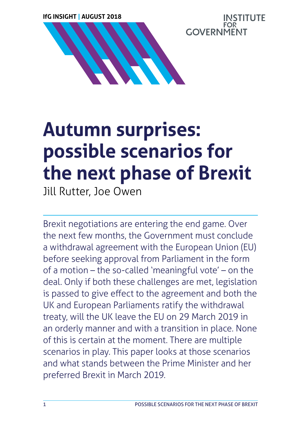**IfG INSIGHT | AUGUST 2018**



# **Autumn surprises: possible scenarios for the next phase of Brexit**

Jill Rutter, Joe Owen

Brexit negotiations are entering the end game. Over the next few months, the Government must conclude a withdrawal agreement with the European Union (EU) before seeking approval from Parliament in the form of a motion – the so-called 'meaningful vote' – on the deal. Only if both these challenges are met, legislation is passed to give effect to the agreement and both the UK and European Parliaments ratify the withdrawal treaty, will the UK leave the EU on 29 March 2019 in an orderly manner and with a transition in place. None of this is certain at the moment. There are multiple scenarios in play. This paper looks at those scenarios and what stands between the Prime Minister and her preferred Brexit in March 2019.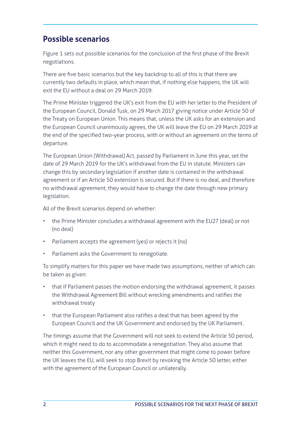## **Possible scenarios**

Figure 1 sets out possible scenarios for the conclusion of the first phase of the Brexit negotiations.

There are five basic scenarios but the key backdrop to all of this is that there are currently two defaults in place, which mean that, if nothing else happens, the UK will exit the EU without a deal on 29 March 2019:

The Prime Minister triggered the UK's exit from the EU with her letter to the President of the European Council, Donald Tusk, on 29 March 2017 giving notice under Article 50 of the Treaty on European Union. This means that, unless the UK asks for an extension and the European Council unanimously agrees, the UK will leave the EU on 29 March 2019 at the end of the specified two-year process, with or without an agreement on the terms of departure.

The European Union (Withdrawal) Act, passed by Parliament in June this year, set the date of 29 March 2019 for the UK's withdrawal from the EU in statute. Ministers can change this by secondary legislation if another date is contained in the withdrawal agreement or if an Article 50 extension is secured. But if there is no deal, and therefore no withdrawal agreement, they would have to change the date through new primary legislation.

All of the Brexit scenarios depend on whether:

- the Prime Minister concludes a withdrawal agreement with the EU27 (deal) or not (no deal)
- Parliament accepts the agreement (yes) or rejects it (no)
- Parliament asks the Government to renegotiate.

To simplify matters for this paper we have made two assumptions, neither of which can be taken as given:

- that if Parliament passes the motion endorsing the withdrawal agreement, it passes the Withdrawal Agreement Bill without wrecking amendments and ratifies the withdrawal treaty
- that the European Parliament also ratifies a deal that has been agreed by the European Council and the UK Government and endorsed by the UK Parliament.

The timings assume that the Government will not seek to extend the Article 50 period, which it might need to do to accommodate a renegotiation. They also assume that neither this Government, nor any other government that might come to power before the UK leaves the EU, will seek to stop Brexit by revoking the Article 50 letter, either with the agreement of the European Council or unilaterally.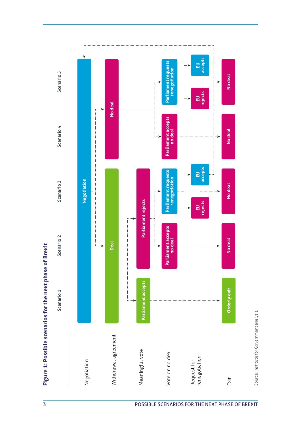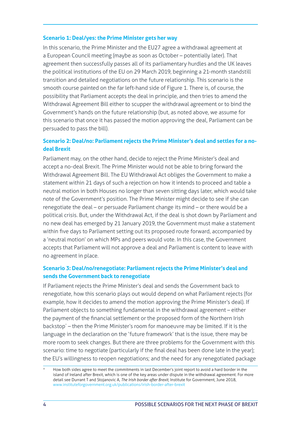#### **Scenario 1: Deal/yes: the Prime Minister gets her way**

In this scenario, the Prime Minister and the EU27 agree a withdrawal agreement at a European Council meeting (maybe as soon as October – potentially later). That agreement then successfully passes all of its parliamentary hurdles and the UK leaves the political institutions of the EU on 29 March 2019, beginning a 21-month standstill transition and detailed negotiations on the future relationship. This scenario is the smooth course painted on the far left-hand side of Figure 1. There is, of course, the possibility that Parliament accepts the deal in principle, and then tries to amend the Withdrawal Agreement Bill either to scupper the withdrawal agreement or to bind the Government's hands on the future relationship (but, as noted above, we assume for this scenario that once it has passed the motion approving the deal, Parliament can be persuaded to pass the bill).

#### **Scenario 2: Deal/no: Parliament rejects the Prime Minister's deal and settles for a nodeal Brexit**

Parliament may, on the other hand, decide to reject the Prime Minister's deal and accept a no-deal Brexit. The Prime Minister would not be able to bring forward the Withdrawal Agreement Bill. The EU Withdrawal Act obliges the Government to make a statement within 21 days of such a rejection on how it intends to proceed and table a neutral motion in both Houses no longer than seven sitting days later, which would take note of the Government's position. The Prime Minister might decide to see if she can renegotiate the deal – or persuade Parliament change its mind – or there would be a political crisis. But, under the Withdrawal Act, if the deal is shot down by Parliament and no new deal has emerged by 21 January 2019, the Government must make a statement within five days to Parliament setting out its proposed route forward, accompanied by a 'neutral motion' on which MPs and peers would vote. In this case, the Government accepts that Parliament will not approve a deal and Parliament is content to leave with no agreement in place.

#### **Scenario 3: Deal/no/renegotiate: Parliament rejects the Prime Minister's deal and sends the Government back to renegotiate**

If Parliament rejects the Prime Minister's deal and sends the Government back to renegotiate, how this scenario plays out would depend on what Parliament rejects (for example, how it decides to amend the motion approving the Prime Minister's deal). If Parliament objects to something fundamental in the withdrawal agreement – either the payment of the financial settlement or the proposed form of the Northern Irish backstop\* – then the Prime Minister's room for manoeuvre may be limited. If it is the language in the declaration on the 'future framework' that is the issue, there may be more room to seek changes. But there are three problems for the Government with this scenario: time to negotiate (particularly if the final deal has been done late in the year); the EU's willingness to reopen negotiations; and the need for any renegotiated package

How both sides agree to meet the commitments in last December's joint report to avoid a hard border in the island of Ireland after Brexit, which is one of the key areas under dispute in the withdrawal agreement. For more detail see Durrant T and Stojanovic A, *The Irish border after Brexit*, Institute for Government, June 2018, [www.instituteforgovernment.org.uk/publications/irish-border-after-brexit](http://www.instituteforgovernment.org.uk/publications/irish-border-after-brexit)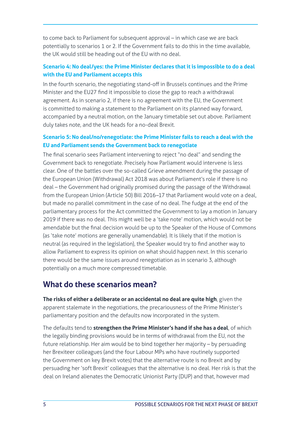to come back to Parliament for subsequent approval – in which case we are back potentially to scenarios 1 or 2. If the Government fails to do this in the time available, the UK would still be heading out of the EU with no deal.

#### **Scenario 4: No deal/yes: the Prime Minister declares that it is impossible to do a deal with the EU and Parliament accepts this**

In the fourth scenario, the negotiating stand-off in Brussels continues and the Prime Minister and the EU27 find it impossible to close the gap to reach a withdrawal agreement. As in scenario 2, if there is no agreement with the EU, the Government is committed to making a statement to the Parliament on its planned way forward, accompanied by a neutral motion, on the January timetable set out above. Parliament duly takes note, and the UK heads for a no-deal Brexit.

#### **Scenario 5: No deal/no/renegotiate: the Prime Minister fails to reach a deal with the EU and Parliament sends the Government back to renegotiate**

The final scenario sees Parliament intervening to reject "no deal" and sending the Government back to renegotiate. Precisely how Parliament would intervene is less clear. One of the battles over the so-called Grieve amendment during the passage of the European Union (Withdrawal) Act 2018 was about Parliament's role if there is no deal – the Government had originally promised during the passage of the Withdrawal from the European Union (Article 50) Bill 2016–17 that Parliament would vote on a deal, but made no parallel commitment in the case of no deal. The fudge at the end of the parliamentary process for the Act committed the Government to lay a motion in January 2019 if there was no deal. This might well be a 'take note' motion, which would not be amendable but the final decision would be up to the Speaker of the House of Commons (as 'take note' motions are generally unamendable). It is likely that if the motion is neutral (as required in the legislation), the Speaker would try to find another way to allow Parliament to express its opinion on what should happen next. In this scenario there would be the same issues around renegotiation as in scenario 3, although potentially on a much more compressed timetable.

## **What do these scenarios mean?**

**The risks of either a deliberate or an accidental no deal are quite high**, given the apparent stalemate in the negotiations, the precariousness of the Prime Minister's parliamentary position and the defaults now incorporated in the system.

The defaults tend to **strengthen the Prime Minister's hand if she has a deal**, of which the legally binding provisions would be in terms of withdrawal from the EU, not the future relationship. Her aim would be to bind together her majority – by persuading her Brexiteer colleagues (and the four Labour MPs who have routinely supported the Government on key Brexit votes) that the alternative route is no Brexit and by persuading her 'soft Brexit' colleagues that the alternative is no deal. Her risk is that the deal on Ireland alienates the Democratic Unionist Party (DUP) and that, however mad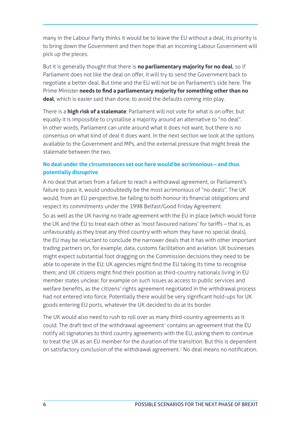many in the Labour Party thinks it would be to leave the EU without a deal, its priority is to bring down the Government and then hope that an incoming Labour Government will pick up the pieces.

But it is generally thought that there is **no parliamentary majority for no deal**, so if Parliament does not like the deal on offer, it will try to send the Government back to negotiate a better deal. But time and the EU will not be on Parliament's side here. The Prime Minister **needs to find a parliamentary majority for something other than no deal**, which is easier said than done, to avoid the defaults coming into play.

There is a **high risk of a stalemate**: Parliament will not vote for what is on offer, but equally it is impossible to crystallise a majority around an alternative to "no deal". In other words, Parliament can unite around what it does not want, but there is no consensus on what kind of deal it does want. In the next section we look at the options available to the Government and MPs, and the external pressure that might break the stalemate between the two.

#### **No deal under the circumstances set out here would be acrimonious – and thus potentially disruptive**

A no deal that arises from a failure to reach a withdrawal agreement, or Parliament's failure to pass it, would undoubtedly be the most acrimonious of "no deals". The UK would, from an EU perspective, be failing to both honour its financial obligations and respect its commitments under the 1998 Belfast/Good Friday Agreement.

So as well as the UK having no trade agreement with the EU in place (which would force the UK and the EU to treat each other as 'most favoured nations' for tariffs – that is, as unfavourably as they treat any third country with whom they have no special deals), the EU may be reluctant to conclude the narrower deals that it has with other important trading partners on, for example, data, customs facilitation and aviation. UK businesses might expect substantial foot dragging on the Commission decisions they need to be able to operate in the EU; UK agencies might find the EU taking its time to recognise them; and UK citizens might find their position as third-country nationals living in EU member states unclear, for example on such issues as access to public services and welfare benefits, as the citizens' rights agreement negotiated in the withdrawal process had not entered into force. Potentially there would be very significant hold-ups for UK goods entering EU ports, whatever the UK decided to do at its border.

The UK would also need to rush to roll over as many third-country agreements as it could. The draft text of the withdrawal agreement<sup>1</sup> contains an agreement that the EU notify all signatories to third country agreements with the EU, asking them to continue to treat the UK as an EU member for the duration of the transition. But this is dependent on satisfactory conclusion of the withdrawal agreement.<sup>2</sup> No deal means no notification.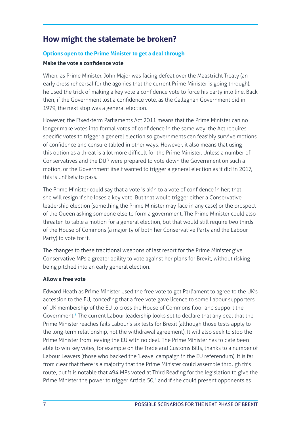## **How might the stalemate be broken?**

#### **Options open to the Prime Minister to get a deal through**

#### **Make the vote a confidence vote**

When, as Prime Minister, John Major was facing defeat over the Maastricht Treaty (an early dress rehearsal for the agonies that the current Prime Minister is going through), he used the trick of making a key vote a confidence vote to force his party into line. Back then, if the Government lost a confidence vote, as the Callaghan Government did in 1979, the next stop was a general election.

However, the Fixed-term Parliaments Act 2011 means that the Prime Minister can no longer make votes into formal votes of confidence in the same way: the Act requires specific votes to trigger a general election so governments can feasibly survive motions of confidence and censure tabled in other ways. However, it also means that using this option as a threat is a lot more difficult for the Prime Minister. Unless a number of Conservatives and the DUP were prepared to vote down the Government on such a motion, or the Government itself wanted to trigger a general election as it did in 2017, this is unlikely to pass.

The Prime Minister could say that a vote is akin to a vote of confidence in her; that she will resign if she loses a key vote. But that would trigger either a Conservative leadership election (something the Prime Minister may face in any case) or the prospect of the Queen asking someone else to form a government. The Prime Minister could also threaten to table a motion for a general election, but that would still require two thirds of the House of Commons (a majority of both her Conservative Party and the Labour Party) to vote for it.

The changes to these traditional weapons of last resort for the Prime Minister give Conservative MPs a greater ability to vote against her plans for Brexit, without risking being pitched into an early general election.

#### **Allow a free vote**

Edward Heath as Prime Minister used the free vote to get Parliament to agree to the UK's accession to the EU, conceding that a free vote gave licence to some Labour supporters of UK membership of the EU to cross the House of Commons floor and support the Government.<sup>3</sup> The current Labour leadership looks set to declare that any deal that the Prime Minister reaches fails Labour's six tests for Brexit (although those tests apply to the long-term relationship, not the withdrawal agreement). It will also seek to stop the Prime Minister from leaving the EU with no deal. The Prime Minister has to date been able to win key votes, for example on the Trade and Customs Bills, thanks to a number of Labour Leavers (those who backed the 'Leave' campaign in the EU referendum). It is far from clear that there is a majority that the Prime Minister could assemble through this route, but it is notable that 494 MPs voted at Third Reading for the legislation to give the Prime Minister the power to trigger Article 50,<sup>4</sup> and if she could present opponents as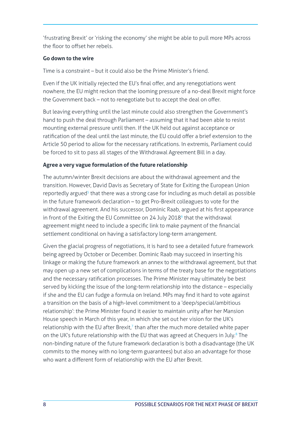'frustrating Brexit' or 'risking the economy' she might be able to pull more MPs across the floor to offset her rebels.

#### **Go down to the wire**

Time is a constraint – but it could also be the Prime Minister's friend.

Even if the UK initially rejected the EU's final offer, and any renegotiations went nowhere, the EU might reckon that the looming pressure of a no-deal Brexit might force the Government back – not to renegotiate but to accept the deal on offer.

But leaving everything until the last minute could also strengthen the Government's hand to push the deal through Parliament – assuming that it had been able to resist mounting external pressure until then. If the UK held out against acceptance or ratification of the deal until the last minute, the EU could offer a brief extension to the Article 50 period to allow for the necessary ratifications. In extremis, Parliament could be forced to sit to pass all stages of the Withdrawal Agreement Bill in a day.

#### **Agree a very vague formulation of the future relationship**

The autumn/winter Brexit decisions are about the withdrawal agreement and the transition. However, David Davis as Secretary of State for Exiting the European Union reportedly argued<sup>5</sup> that there was a strong case for including as much detail as possible in the future framework declaration – to get Pro-Brexit colleagues to vote for the withdrawal agreement. And his successor, Dominic Raab, argued at his first appearance in front of the Exiting the EU Committee on 24 July 2018 $6$  that the withdrawal agreement might need to include a specific link to make payment of the financial settlement conditional on having a satisfactory long-term arrangement.

Given the glacial progress of negotiations, it is hard to see a detailed future framework being agreed by October or December. Dominic Raab may succeed in inserting his linkage or making the future framework an annex to the withdrawal agreement, but that may open up a new set of complications in terms of the treaty base for the negotiations and the necessary ratification processes. The Prime Minister may ultimately be best served by kicking the issue of the long-term relationship into the distance – especially if she and the EU can fudge a formula on Ireland. MPs may find it hard to vote against a transition on the basis of a high-level commitment to a 'deep/special/ambitious relationship': the Prime Minister found it easier to maintain unity after her Mansion House speech in March of this year, in which she set out her vision for the UK's relationship with the EU after Brexit, $7$  than after the much more detailed white paper on the UK's future relationship with the EU that was agreed at Chequers in July.<sup>8</sup> The non-binding nature of the future framework declaration is both a disadvantage (the UK commits to the money with no long-term guarantees) but also an advantage for those who want a different form of relationship with the EU after Brexit.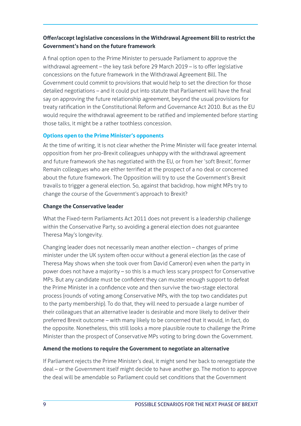#### **Offer/accept legislative concessions in the Withdrawal Agreement Bill to restrict the Government's hand on the future framework**

A final option open to the Prime Minister to persuade Parliament to approve the withdrawal agreement – the key task before 29 March 2019 – is to offer legislative concessions on the future framework in the Withdrawal Agreement Bill. The Government could commit to provisions that would help to set the direction for those detailed negotiations – and it could put into statute that Parliament will have the final say on approving the future relationship agreement, beyond the usual provisions for treaty ratification in the Constitutional Reform and Governance Act 2010. But as the EU would require the withdrawal agreement to be ratified and implemented before starting those talks, it might be a rather toothless concession.

#### **Options open to the Prime Minister's opponents**

At the time of writing, it is not clear whether the Prime Minister will face greater internal opposition from her pro-Brexit colleagues unhappy with the withdrawal agreement and future framework she has negotiated with the EU, or from her 'soft Brexit', former Remain colleagues who are either terrified at the prospect of a no deal or concerned about the future framework. The Opposition will try to use the Government's Brexit travails to trigger a general election. So, against that backdrop, how might MPs try to change the course of the Government's approach to Brexit?

#### **Change the Conservative leader**

What the Fixed-term Parliaments Act 2011 does not prevent is a leadership challenge within the Conservative Party, so avoiding a general election does not guarantee Theresa May's longevity.

Changing leader does not necessarily mean another election – changes of prime minister under the UK system often occur without a general election (as the case of Theresa May shows when she took over from David Cameron) even when the party in power does not have a majority – so this is a much less scary prospect for Conservative MPs. But any candidate must be confident they can muster enough support to defeat the Prime Minister in a confidence vote and then survive the two-stage electoral process (rounds of voting among Conservative MPs, with the top two candidates put to the party membership). To do that, they will need to persuade a large number of their colleagues that an alternative leader is desirable and more likely to deliver their preferred Brexit outcome – with many likely to be concerned that it would, in fact, do the opposite. Nonetheless, this still looks a more plausible route to challenge the Prime Minister than the prospect of Conservative MPs voting to bring down the Government.

#### **Amend the motions to require the Government to negotiate an alternative**

If Parliament rejects the Prime Minister's deal, it might send her back to renegotiate the deal – or the Government itself might decide to have another go. The motion to approve the deal will be amendable so Parliament could set conditions that the Government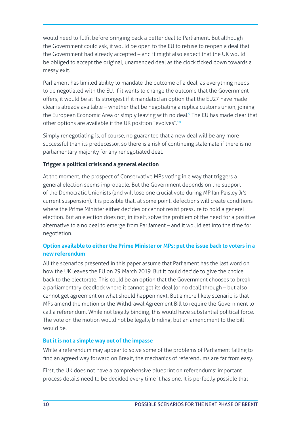would need to fulfil before bringing back a better deal to Parliament. But although the Government could ask, it would be open to the EU to refuse to reopen a deal that the Government had already accepted – and it might also expect that the UK would be obliged to accept the original, unamended deal as the clock ticked down towards a messy exit.

Parliament has limited ability to mandate the outcome of a deal, as everything needs to be negotiated with the EU. If it wants to change the outcome that the Government offers, it would be at its strongest if it mandated an option that the EU27 have made clear is already available – whether that be negotiating a replica customs union, joining the European Economic Area or simply leaving with no deal.<sup>9</sup> The EU has made clear that other options are available if the UK position "evolves".<sup>10</sup>

Simply renegotiating is, of course, no guarantee that a new deal will be any more successful than its predecessor, so there is a risk of continuing stalemate if there is no parliamentary majority for any renegotiated deal.

#### **Trigger a political crisis and a general election**

At the moment, the prospect of Conservative MPs voting in a way that triggers a general election seems improbable. But the Government depends on the support of the Democratic Unionists (and will lose one crucial vote during MP Ian Paisley Jr's current suspension). It is possible that, at some point, defections will create conditions where the Prime Minister either decides or cannot resist pressure to hold a general election. But an election does not, in itself, solve the problem of the need for a positive alternative to a no deal to emerge from Parliament – and it would eat into the time for negotiation.

#### **Option available to either the Prime Minister or MPs: put the issue back to voters in a new referendum**

All the scenarios presented in this paper assume that Parliament has the last word on how the UK leaves the EU on 29 March 2019. But it could decide to give the choice back to the electorate. This could be an option that the Government chooses to break a parliamentary deadlock where it cannot get its deal (or no deal) through – but also cannot get agreement on what should happen next. But a more likely scenario is that MPs amend the motion or the Withdrawal Agreement Bill to require the Government to call a referendum. While not legally binding, this would have substantial political force. The vote on the motion would not be legally binding, but an amendment to the bill would be.

#### **But it is not a simple way out of the impasse**

While a referendum may appear to solve some of the problems of Parliament failing to find an agreed way forward on Brexit, the mechanics of referendums are far from easy.

First, the UK does not have a comprehensive blueprint on referendums: important process details need to be decided every time it has one. It is perfectly possible that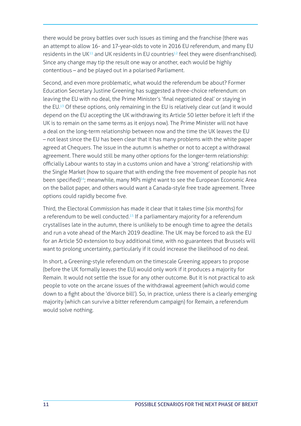there would be proxy battles over such issues as timing and the franchise (there was an attempt to allow 16- and 17-year-olds to vote in 2016 EU referendum, and many EU residents in the UK<sup>11</sup> and UK residents in EU countries<sup>12</sup> feel they were disenfranchised). Since any change may tip the result one way or another, each would be highly contentious – and be played out in a polarised Parliament.

Second, and even more problematic, what would the referendum be about? Former Education Secretary Justine Greening has suggested a three-choice referendum: on leaving the EU with no deal, the Prime Minister's 'final negotiated deal' or staying in the EU.<sup>13</sup> Of these options, only remaining in the EU is relatively clear cut (and it would depend on the EU accepting the UK withdrawing its Article 50 letter before it left if the UK is to remain on the same terms as it enjoys now). The Prime Minister will not have a deal on the long-term relationship between now and the time the UK leaves the EU – not least since the EU has been clear that it has many problems with the white paper agreed at Chequers. The issue in the autumn is whether or not to accept a withdrawal agreement. There would still be many other options for the longer-term relationship: officially Labour wants to stay in a customs union and have a 'strong' relationship with the Single Market (how to square that with ending the free movement of people has not been specified)<sup>14</sup>; meanwhile, many MPs might want to see the European Economic Area on the ballot paper, and others would want a Canada-style free trade agreement. Three options could rapidly become five.

Third, the Electoral Commission has made it clear that it takes time (six months) for a referendum to be well conducted.<sup>15</sup> If a parliamentary majority for a referendum crystallises late in the autumn, there is unlikely to be enough time to agree the details and run a vote ahead of the March 2019 deadline. The UK may be forced to ask the EU for an Article 50 extension to buy additional time, with no guarantees that Brussels will want to prolong uncertainty, particularly if it could increase the likelihood of no deal.

In short, a Greening-style referendum on the timescale Greening appears to propose (before the UK formally leaves the EU) would only work if it produces a majority for Remain. It would not settle the issue for any other outcome. But it is not practical to ask people to vote on the arcane issues of the withdrawal agreement (which would come down to a fight about the 'divorce bill'). So, in practice, unless there is a clearly emerging majority (which can survive a bitter referendum campaign) for Remain, a referendum would solve nothing.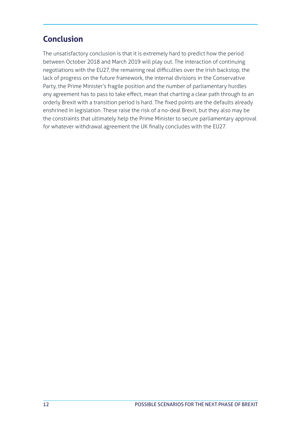## **Conclusion**

The unsatisfactory conclusion is that it is extremely hard to predict how the period between October 2018 and March 2019 will play out. The interaction of continuing negotiations with the EU27, the remaining real difficulties over the Irish backstop, the lack of progress on the future framework, the internal divisions in the Conservative Party, the Prime Minister's fragile position and the number of parliamentary hurdles any agreement has to pass to take effect, mean that charting a clear path through to an orderly Brexit with a transition period is hard. The fixed points are the defaults already enshrined in legislation. These raise the risk of a no-deal Brexit, but they also may be the constraints that ultimately help the Prime Minister to secure parliamentary approval for whatever withdrawal agreement the UK finally concludes with the EU27.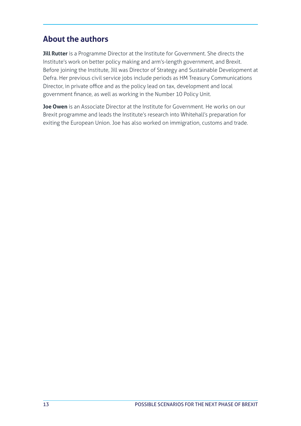## **About the authors**

**Jill Rutter** is a Programme Director at the Institute for Government. She directs the Institute's work on better policy making and arm's-length government, and Brexit. Before joining the Institute, Jill was Director of Strategy and Sustainable Development at Defra. Her previous civil service jobs include periods as HM Treasury Communications Director, in private office and as the policy lead on tax, development and local government finance, as well as working in the Number 10 Policy Unit.

**Joe Owen** is an Associate Director at the Institute for Government. He works on our Brexit programme and leads the Institute's research into Whitehall's preparation for exiting the European Union. Joe has also worked on immigration, customs and trade.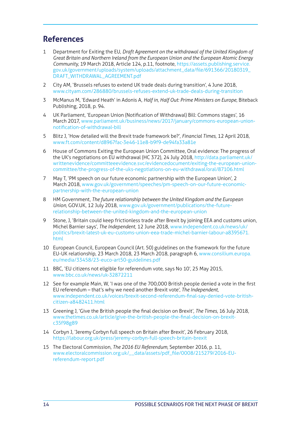## **References**

- 1 Department for Exiting the EU, *Draft Agreement on the withdrawal of the United Kingdom of Great Britain and Northern Ireland from the European Union and the European Atomic Energy Community*, 19 March 2018, Article 124, p.11, footnote, [https://assets.publishing.service.](https://assets.publishing.service.gov.uk/government/uploads/system/uploads/attachment_data/file/691366/20180319_DRAFT_WITHDRAWAL_AGREEMENT.pdf
) [gov.uk/government/uploads/system/uploads/attachment\\_data/file/691366/20180319\\_](https://assets.publishing.service.gov.uk/government/uploads/system/uploads/attachment_data/file/691366/20180319_DRAFT_WITHDRAWAL_AGREEMENT.pdf
) [DRAFT\\_WITHDRAWAL\\_AGREEMENT.pdf](https://assets.publishing.service.gov.uk/government/uploads/system/uploads/attachment_data/file/691366/20180319_DRAFT_WITHDRAWAL_AGREEMENT.pdf
)
- 2 City AM, 'Brussels refuses to extend UK trade deals during transition', 4 June 2018, [www.cityam.com/286880/brussels-refuses-extend-uk-trade-deals-during-transition](http://www.cityam.com/286880/brussels-refuses-extend-uk-trade-deals-during-transition)
- 3 McManus M, 'Edward Heath' in Adonis A, *Half in, Half Out: Prime Ministers on Europe*, Biteback Publishing, 2018, p. 94.
- 4 UK Parliament, 'European Union (Notification of Withdrawal) Bill: Commons stages', 16 March 2017, [www.parliament.uk/business/news/2017/january/commons-european-union](http://www.parliament.uk/business/news/2017/january/commons-european-union-notification-of-withdrawal-bill)[notification-of-withdrawal-bill](http://www.parliament.uk/business/news/2017/january/commons-european-union-notification-of-withdrawal-bill)
- 5 Blitz J, 'How detailed will the Brexit trade framework be?', *Financial Times*, 12 April 2018, [www.ft.com/content/d8967fac-3e46-11e8-b9f9-de94fa33a81e](http://www.ft.com/content/d8967fac-3e46-11e8-b9f9-de94fa33a81e)
- 6 House of Commons Exiting the European Union Committee, Oral evidence: The progress of the UK's negotiations on EU withdrawal (HC 372), 24 July 2018, [http://data.parliament.uk/](http://data.parliament.uk/writtenevidence/committeeevidence.svc/evidencedocument/exiting-the-european-union-committee/the-progress-of-the-uks-negotiations-on-eu-withdrawal/oral/87106.html) [writtenevidence/committeeevidence.svc/evidencedocument/exiting-the-european-union](http://data.parliament.uk/writtenevidence/committeeevidence.svc/evidencedocument/exiting-the-european-union-committee/the-progress-of-the-uks-negotiations-on-eu-withdrawal/oral/87106.html)[committee/the-progress-of-the-uks-negotiations-on-eu-withdrawal/oral/87106.html](http://data.parliament.uk/writtenevidence/committeeevidence.svc/evidencedocument/exiting-the-european-union-committee/the-progress-of-the-uks-negotiations-on-eu-withdrawal/oral/87106.html)
- 7 May T, 'PM speech on our future economic partnership with the European Union', 2 March 2018, [www.gov.uk/government/speeches/pm-speech-on-our-future-economic](http://www.gov.uk/government/speeches/pm-speech-on-our-future-economic-partnership-with-the-european-union)[partnership-with-the-european-union](http://www.gov.uk/government/speeches/pm-speech-on-our-future-economic-partnership-with-the-european-union)
- 8 HM Government, *The future relationship between the United Kingdom and the European Union*, GOV.UK, 12 July 2018, [www.gov.uk/government/publications/the-future](http://www.gov.uk/government/publications/the-future-relationship-between-the-united-kingdom-and-the-european-union)[relationship-between-the-united-kingdom-and-the-european-union](http://www.gov.uk/government/publications/the-future-relationship-between-the-united-kingdom-and-the-european-union)
- 9 Stone, J, 'Britain could keep frictionless trade after Brexit by joining EEA and customs union, Michel Barnier says', *The Independent*, 12 June 2018, [www.independent.co.uk/news/uk/](http://www.independent.co.uk/news/uk/politics/brexit-latest-uk-eu-customs-union-eea-trade-michel-barnier-labour-a8395671.html) [politics/brexit-latest-uk-eu-customs-union-eea-trade-michel-barnier-labour-a8395671.](http://www.independent.co.uk/news/uk/politics/brexit-latest-uk-eu-customs-union-eea-trade-michel-barnier-labour-a8395671.html) [html](http://www.independent.co.uk/news/uk/politics/brexit-latest-uk-eu-customs-union-eea-trade-michel-barnier-labour-a8395671.html)
- 10 European Council, European Council (Art. 50) guidelines on the framework for the future EU-UK relationship, 23 March 2018, 23 March 2018, paragraph 6, [www.consilium.europa.](http://www.consilium.europa.eu/media/33458/23-euco-art50-guidelines.pdf
) [eu/media/33458/23-euco-art50-guidelines.pdf](http://www.consilium.europa.eu/media/33458/23-euco-art50-guidelines.pdf
)
- 11 BBC, 'EU citizens not eligible for referendum vote, says No 10', 25 May 2015, [www.bbc.co.uk/news/uk-32872211](http://www.bbc.co.uk/news/uk-32872211)
- 12 See for example Main, W, 'I was one of the 700,000 British people denied a vote in the first EU referendum – that's why we need another Brexit vote', *The Independent*, [www.independent.co.uk/voices/brexit-second-referendum-final-say-denied-vote-british](http://www.independent.co.uk/voices/brexit-second-referendum-final-say-denied-vote-british-citizen-a8482411.html
)[citizen-a8482411.html](http://www.independent.co.uk/voices/brexit-second-referendum-final-say-denied-vote-british-citizen-a8482411.html
)
- 13 Greening J, 'Give the British people the final decision on Brexit', *The Times*, 16 July 2018, [www.thetimes.co.uk/article/give-the-british-people-the-final-decision-on-brexit](http://www.thetimes.co.uk/article/give-the-british-people-the-final-decision-on-brexit-c35f98g89)[c35f98g89](http://www.thetimes.co.uk/article/give-the-british-people-the-final-decision-on-brexit-c35f98g89)
- 14 Corbyn J, 'Jeremy Corbyn full speech on Britain after Brexit', 26 February 2018, <https://labour.org.uk/press/jeremy-corbyn-full-speech-britain-brexit>
- 15 The Electoral Commission, *The 2016 EU Referendum*, September 2016, p. 11, [www.electoralcommission.org.uk/\\_\\_data/assets/pdf\\_file/0008/215279/2016-EU](http://www.electoralcommission.org.uk/__data/assets/pdf_file/0008/215279/2016-EU-referendum-report.pdf)[referendum-report.pdf](http://www.electoralcommission.org.uk/__data/assets/pdf_file/0008/215279/2016-EU-referendum-report.pdf)